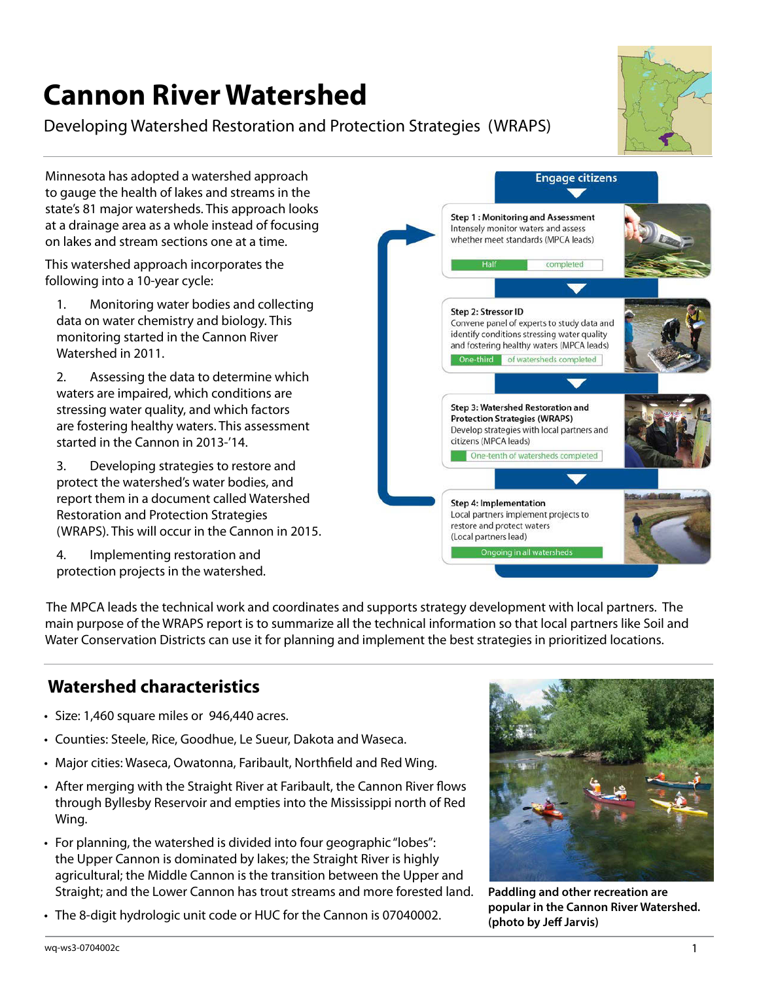# **Cannon River Watershed**

#### Developing Watershed Restoration and Protection Strategies (WRAPS)



Minnesota has adopted a watershed approach to gauge the health of lakes and streams in the state's 81 major watersheds. This approach looks at a drainage area as a whole instead of focusing on lakes and stream sections one at a time.

This watershed approach incorporates the following into a 10-year cycle:

1. Monitoring water bodies and collecting data on water chemistry and biology. This monitoring started in the Cannon River Watershed in 2011.

2. Assessing the data to determine which waters are impaired, which conditions are stressing water quality, and which factors are fostering healthy waters. This assessment started in the Cannon in 2013-'14.

3. Developing strategies to restore and protect the watershed's water bodies, and report them in a document called Watershed Restoration and Protection Strategies (WRAPS). This will occur in the Cannon in 2015.

4. Implementing restoration and protection projects in the watershed.

**Engage citizens Step 1: Monitoring and Assessment** Intensely monitor waters and assess whether meet standards (MPCA leads) completed Step 2: Stressor ID Convene panel of experts to study data and identify conditions stressing water quality and fostering healthy waters (MPCA leads) One-third of watersheds completed **Step 3: Watershed Restoration and Protection Strategies (WRAPS)** Develop strategies with local partners and citizens (MPCA leads) One-tenth of watersheds completed Step 4: Implementation Local partners implement projects to restore and protect waters (Local partners lead) Ongoing in all watersheds

The MPCA leads the technical work and coordinates and supports strategy development with local partners. The main purpose of the WRAPS report is to summarize all the technical information so that local partners like Soil and Water Conservation Districts can use it for planning and implement the best strategies in prioritized locations.

## **Watershed characteristics**

- Size: 1,460 square miles or 946,440 acres.
- Counties: Steele, Rice, Goodhue, Le Sueur, Dakota and Waseca.
- Major cities: Waseca, Owatonna, Faribault, Northfield and Red Wing.
- After merging with the Straight River at Faribault, the Cannon River flows through Byllesby Reservoir and empties into the Mississippi north of Red Wing.
- For planning, the watershed is divided into four geographic "lobes": the Upper Cannon is dominated by lakes; the Straight River is highly agricultural; the Middle Cannon is the transition between the Upper and Straight; and the Lower Cannon has trout streams and more forested land.
- The 8-digit hydrologic unit code or HUC for the Cannon is 07040002.



**Paddling and other recreation are popular in the Cannon River Watershed. (photo by Jeff Jarvis)**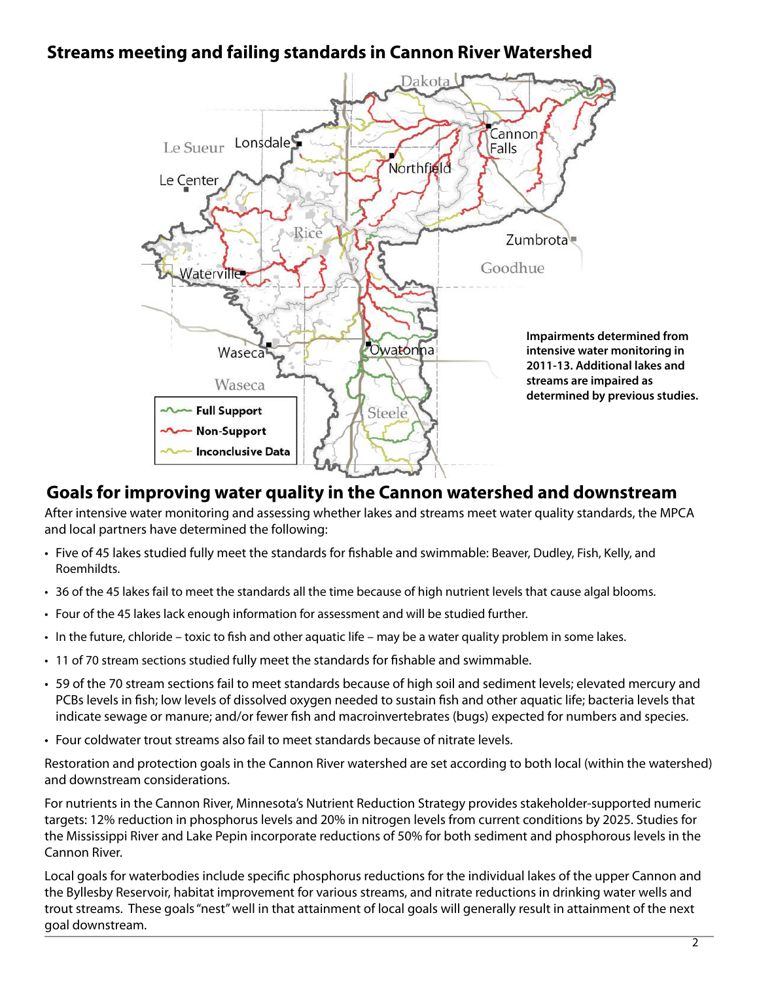## **Streams meeting and failing standards in Cannon River Watershed**



#### **Goals for improving water quality in the Cannon watershed and downstream**

After intensive water monitoring and assessing whether lakes and streams meet water quality standards, the MPCA and local partners have determined the following:

- Five of 45 lakes studied fully meet the standards for fishable and swimmable: Beaver, Dudley, Fish, Kelly, and Roemhildts.
- 36 of the 45 lakes fail to meet the standards all the time because of high nutrient levels that cause algal blooms.
- Four of the 45 lakes lack enough information for assessment and will be studied further.
- In the future, chloride toxic to fish and other aquatic life may be a water quality problem in some lakes.
- 11 of 70 stream sections studied fully meet the standards for fishable and swimmable.
- 59 of the 70 stream sections fail to meet standards because of high soil and sediment levels; elevated mercury and PCBs levels in fish; low levels of dissolved oxygen needed to sustain fish and other aquatic life; bacteria levels that indicate sewage or manure; and/or fewer fish and macroinvertebrates (bugs) expected for numbers and species.
- Four coldwater trout streams also fail to meet standards because of nitrate levels.

Restoration and protection goals in the Cannon River watershed are set according to both local (within the watershed) and downstream considerations.

For nutrients in the Cannon River, Minnesota's Nutrient Reduction Strategy provides stakeholder-supported numeric targets: 12% reduction in phosphorus levels and 20% in nitrogen levels from current conditions by 2025. Studies for the Mississippi River and Lake Pepin incorporate reductions of 50% for both sediment and phosphorous levels in the Cannon River.

Local goals for waterbodies include specific phosphorus reductions for the individual lakes of the upper Cannon and the Byllesby Reservoir, habitat improvement for various streams, and nitrate reductions in drinking water wells and trout streams. These goals "nest" well in that attainment of local goals will generally result in attainment of the next goal downstream.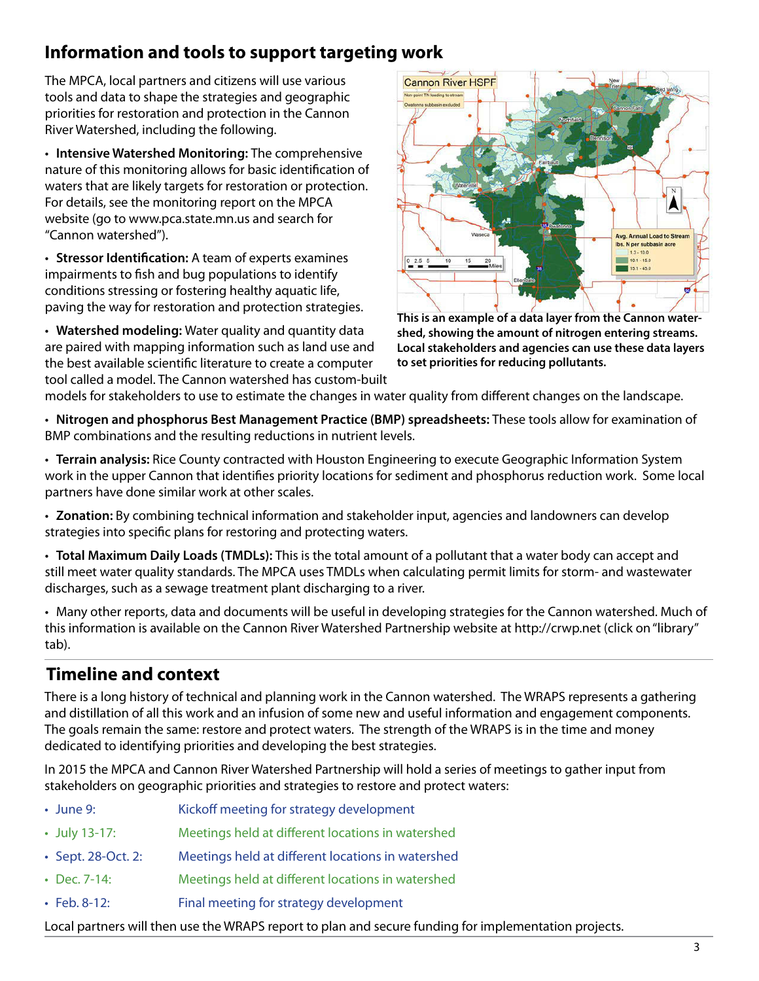## **Information and tools to support targeting work**

The MPCA, local partners and citizens will use various tools and data to shape the strategies and geographic priorities for restoration and protection in the Cannon River Watershed, including the following.

• **Intensive Watershed Monitoring:** The comprehensive nature of this monitoring allows for basic identification of waters that are likely targets for restoration or protection. For details, see the monitoring report on the MPCA website (go to www.pca.state.mn.us and search for "Cannon watershed").

• **Stressor Identification:** A team of experts examines impairments to fish and bug populations to identify conditions stressing or fostering healthy aquatic life, paving the way for restoration and protection strategies.

• **Watershed modeling:** Water quality and quantity data are paired with mapping information such as land use and the best available scientific literature to create a computer tool called a model. The Cannon watershed has custom-built



**This is an example of a data layer from the Cannon watershed, showing the amount of nitrogen entering streams. Local stakeholders and agencies can use these data layers to set priorities for reducing pollutants.**

models for stakeholders to use to estimate the changes in water quality from different changes on the landscape.

• **Nitrogen and phosphorus Best Management Practice (BMP) spreadsheets:** These tools allow for examination of BMP combinations and the resulting reductions in nutrient levels.

• **Terrain analysis:** Rice County contracted with Houston Engineering to execute Geographic Information System work in the upper Cannon that identifies priority locations for sediment and phosphorus reduction work. Some local partners have done similar work at other scales.

• **Zonation:** By combining technical information and stakeholder input, agencies and landowners can develop strategies into specific plans for restoring and protecting waters.

• **Total Maximum Daily Loads (TMDLs):** This is the total amount of a pollutant that a water body can accept and still meet water quality standards. The MPCA uses TMDLs when calculating permit limits for storm- and wastewater discharges, such as a sewage treatment plant discharging to a river.

• Many other reports, data and documents will be useful in developing strategies for the Cannon watershed. Much of this information is available on the Cannon River Watershed Partnership website at http://crwp.net (click on "library" tab).

## **Timeline and context**

There is a long history of technical and planning work in the Cannon watershed. The WRAPS represents a gathering and distillation of all this work and an infusion of some new and useful information and engagement components. The goals remain the same: restore and protect waters. The strength of the WRAPS is in the time and money dedicated to identifying priorities and developing the best strategies.

In 2015 the MPCA and Cannon River Watershed Partnership will hold a series of meetings to gather input from stakeholders on geographic priorities and strategies to restore and protect waters:

- June 9: Kickoff meeting for strategy development
- July 13-17: Meetings held at different locations in watershed
- Sept. 28-Oct. 2: Meetings held at different locations in watershed
- Dec. 7-14: Meetings held at different locations in watershed
- Feb. 8-12: Final meeting for strategy development

Local partners will then use the WRAPS report to plan and secure funding for implementation projects.